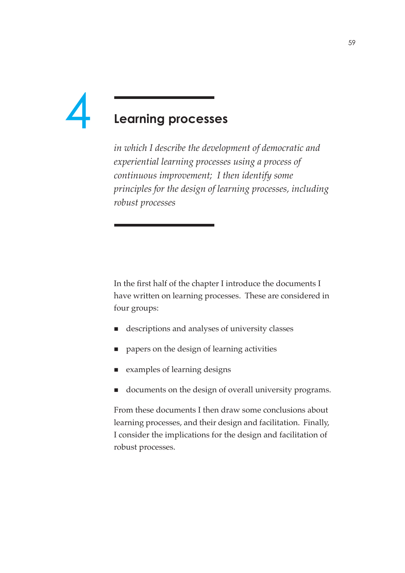# 4

# **Learning processes**

*in which I describe the development of democratic and experiential learning processes using a process of continuous improvement; I then identify some principles for the design of learning processes, including robust processes*

In the first half of the chapter I introduce the documents I have written on learning processes. These are considered in four groups:

- descriptions and analyses of university classes
- papers on the design of learning activities
- examples of learning designs
- documents on the design of overall university programs.

From these documents I then draw some conclusions about learning processes, and their design and facilitation. Finally, I consider the implications for the design and facilitation of robust processes.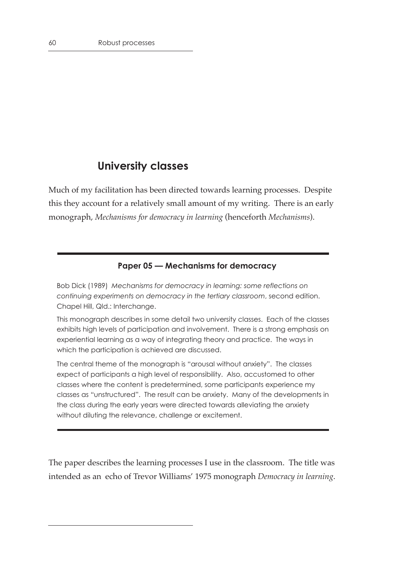# **University classes**

Much of my facilitation has been directed towards learning processes. Despite this they account for a relatively small amount of my writing. There is an early monograph, *Mechanisms for democracy in learning* (henceforth *Mechanisms*).

# **Paper 05 — Mechanisms for democracy**

Bob Dick (1989) *Mechanisms for democracy in learning: some reflections on continuing experiments on democracy in the tertiary classroom*, second edition. Chapel Hill, Qld.: Interchange.

This monograph describes in some detail two university classes. Each of the classes exhibits high levels of participation and involvement. There is a strong emphasis on experiential learning as a way of integrating theory and practice. The ways in which the participation is achieved are discussed.

The central theme of the monograph is "arousal without anxiety". The classes expect of participants a high level of responsibility. Also, accustomed to other classes where the content is predetermined, some participants experience my classes as "unstructured". The result can be anxiety. Many of the developments in the class during the early years were directed towards alleviating the anxiety without diluting the relevance, challenge or excitement.

The paper describes the learning processes I use in the classroom. The title was intended as an echo of Trevor Williams' 1975 monograph *Democracy in learning*.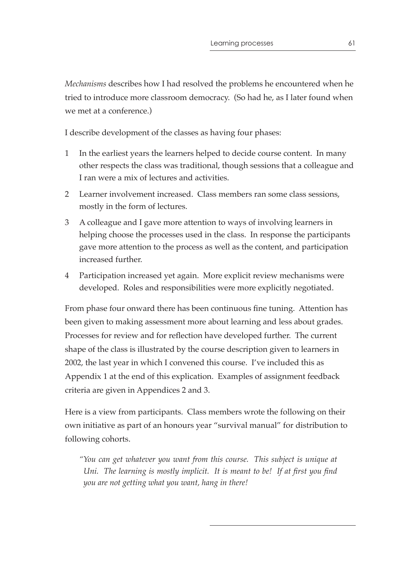*Mechanisms* describes how I had resolved the problems he encountered when he tried to introduce more classroom democracy. (So had he, as I later found when we met at a conference.)

I describe development of the classes as having four phases:

- 1 In the earliest years the learners helped to decide course content. In many other respects the class was traditional, though sessions that a colleague and I ran were a mix of lectures and activities.
- 2 Learner involvement increased. Class members ran some class sessions, mostly in the form of lectures.
- 3 A colleague and I gave more attention to ways of involving learners in helping choose the processes used in the class. In response the participants gave more attention to the process as well as the content, and participation increased further.
- 4 Participation increased yet again. More explicit review mechanisms were developed. Roles and responsibilities were more explicitly negotiated.

From phase four onward there has been continuous fine tuning. Attention has been given to making assessment more about learning and less about grades. Processes for review and for reflection have developed further. The current shape of the class is illustrated by the course description given to learners in 2002, the last year in which I convened this course. I've included this as Appendix 1 at the end of this explication. Examples of assignment feedback criteria are given in Appendices 2 and 3.

Here is a view from participants. Class members wrote the following on their own initiative as part of an honours year "survival manual" for distribution to following cohorts.

*"You can get whatever you want from this course. This subject is unique at Uni. The learning is mostly implicit. It is meant to be! If at first you find you are not getting what you want, hang in there!*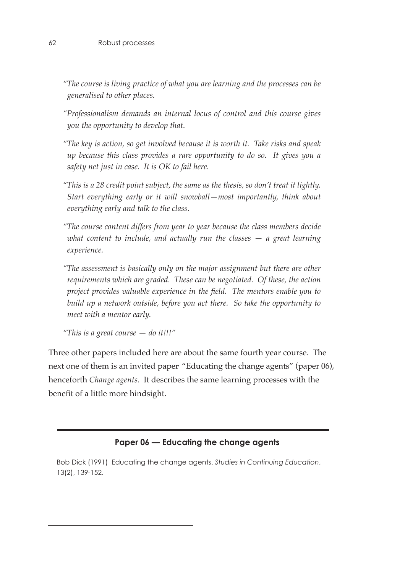*"The course is living practice of what you are learning and the processes can be generalised to other places.*

- *"Professionalism demands an internal locus of control and this course gives you the opportunity to develop that.*
- *"The key is action, so get involved because it is worth it. Take risks and speak up because this class provides a rare opportunity to do so. It gives you a safety net just in case. It is OK to fail here.*
- *"This is a 28 credit point subject, the same as the thesis, so don't treat it lightly. Start everything early or it will snowball—most importantly, think about everything early and talk to the class.*
- *"The course content differs from year to year because the class members decide what content to include, and actually run the classes — a great learning experience.*
- *"The assessment is basically only on the major assignment but there are other requirements which are graded. These can be negotiated. Of these, the action project provides valuable experience in the field. The mentors enable you to build up a network outside, before you act there. So take the opportunity to meet with a mentor early.*

```
"This is a great course — do it!!!"
```
Three other papers included here are about the same fourth year course. The next one of them is an invited paper "Educating the change agents" (paper 06), henceforth *Change agents*. It describes the same learning processes with the benefit of a little more hindsight.

#### **Paper 06 — Educating the change agents**

Bob Dick (1991) Educating the change agents. *Studies in Continuing Education*, 13(2), 139-152.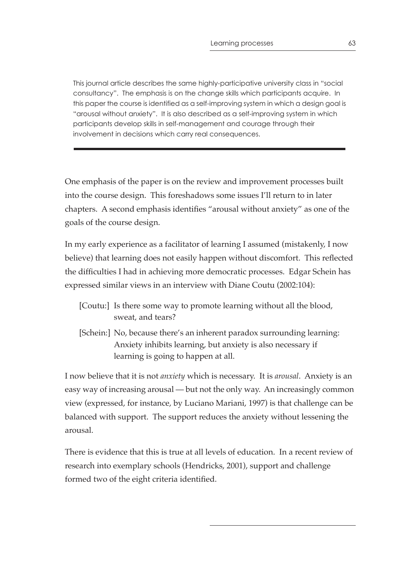This journal article describes the same highly-participative university class in "social consultancy". The emphasis is on the change skills which participants acquire. In this paper the course is identified as a self-improving system in which a design goal is "arousal without anxiety". It is also described as a self-improving system in which participants develop skills in self-management and courage through their involvement in decisions which carry real consequences.

One emphasis of the paper is on the review and improvement processes built into the course design. This foreshadows some issues I'll return to in later chapters. A second emphasis identifies "arousal without anxiety" as one of the goals of the course design.

In my early experience as a facilitator of learning I assumed (mistakenly, I now believe) that learning does not easily happen without discomfort. This reflected the difficulties I had in achieving more democratic processes. Edgar Schein has expressed similar views in an interview with Diane Coutu (2002:104):

| [Coutu:] Is there some way to promote learning without all the blood, |
|-----------------------------------------------------------------------|
| sweat, and tears?                                                     |

[Schein:] No, because there's an inherent paradox surrounding learning: Anxiety inhibits learning, but anxiety is also necessary if learning is going to happen at all.

I now believe that it is not *anxiety* which is necessary. It is *arousal*. Anxiety is an easy way of increasing arousal — but not the only way. An increasingly common view (expressed, for instance, by Luciano Mariani, 1997) is that challenge can be balanced with support. The support reduces the anxiety without lessening the arousal.

There is evidence that this is true at all levels of education. In a recent review of research into exemplary schools (Hendricks, 2001), support and challenge formed two of the eight criteria identified.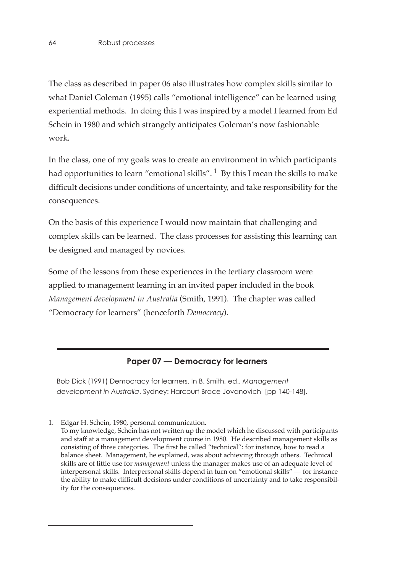The class as described in paper 06 also illustrates how complex skills similar to what Daniel Goleman (1995) calls "emotional intelligence" can be learned using experiential methods. In doing this I was inspired by a model I learned from Ed Schein in 1980 and which strangely anticipates Goleman's now fashionable work.

In the class, one of my goals was to create an environment in which participants had opportunities to learn "emotional skills".  $1$  By this I mean the skills to make difficult decisions under conditions of uncertainty, and take responsibility for the consequences.

On the basis of this experience I would now maintain that challenging and complex skills can be learned. The class processes for assisting this learning can be designed and managed by novices.

Some of the lessons from these experiences in the tertiary classroom were applied to management learning in an invited paper included in the book *Management development in Australia* (Smith, 1991). The chapter was called "Democracy for learners" (henceforth *Democracy*).

## **Paper 07 — Democracy for learners**

Bob Dick (1991) Democracy for learners. In B. Smith, ed., *Management development in Australia*. Sydney: Harcourt Brace Jovanovich [pp 140-148].

<sup>1.</sup> Edgar H. Schein, 1980, personal communication. To my knowledge, Schein has not written up the model which he discussed with participants and staff at a management development course in 1980. He described management skills as consisting of three categories. The first he called "technical": for instance, how to read a balance sheet. Management, he explained, was about achieving through others. Technical skills are of little use for *management* unless the manager makes use of an adequate level of interpersonal skills. Interpersonal skills depend in turn on "emotional skills" — for instance the ability to make difficult decisions under conditions of uncertainty and to take responsibility for the consequences.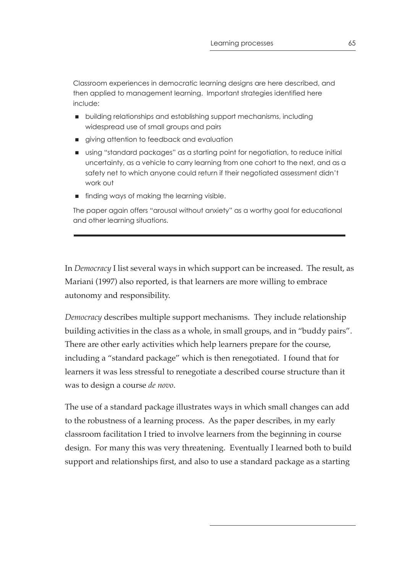Classroom experiences in democratic learning designs are here described, and then applied to management learning. Important strategies identified here include:

- building relationships and establishing support mechanisms, including widespread use of small groups and pairs
- **qiving attention to feedback and evaluation**
- using "standard packages" as a starting point for negotiation, to reduce initial uncertainty, as a vehicle to carry learning from one cohort to the next, and as a safety net to which anyone could return if their negotiated assessment didn't work out
- **finding ways of making the learning visible.**

The paper again offers "arousal without anxiety" as a worthy goal for educational and other learning situations.

In *Democracy* I list several ways in which support can be increased. The result, as Mariani (1997) also reported, is that learners are more willing to embrace autonomy and responsibility.

*Democracy* describes multiple support mechanisms. They include relationship building activities in the class as a whole, in small groups, and in "buddy pairs". There are other early activities which help learners prepare for the course, including a "standard package" which is then renegotiated. I found that for learners it was less stressful to renegotiate a described course structure than it was to design a course *de novo*.

The use of a standard package illustrates ways in which small changes can add to the robustness of a learning process. As the paper describes, in my early classroom facilitation I tried to involve learners from the beginning in course design. For many this was very threatening. Eventually I learned both to build support and relationships first, and also to use a standard package as a starting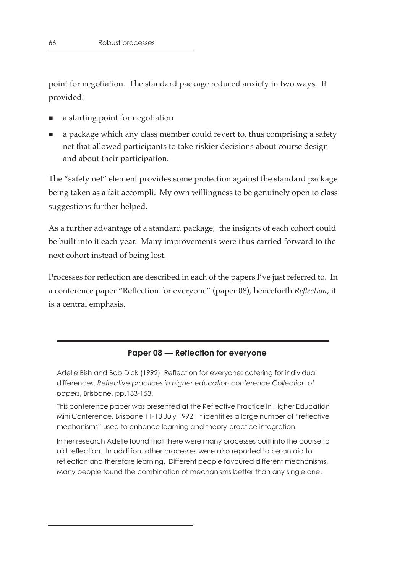point for negotiation. The standard package reduced anxiety in two ways. It provided:

- a starting point for negotiation
- a package which any class member could revert to, thus comprising a safety net that allowed participants to take riskier decisions about course design and about their participation.

The "safety net" element provides some protection against the standard package being taken as a fait accompli. My own willingness to be genuinely open to class suggestions further helped.

As a further advantage of a standard package, the insights of each cohort could be built into it each year. Many improvements were thus carried forward to the next cohort instead of being lost.

Processes for reflection are described in each of the papers I've just referred to. In a conference paper "Reflection for everyone" (paper 08), henceforth *Reflection*, it is a central emphasis.

#### **Paper 08 — Reflection for everyone**

Adelle Bish and Bob Dick (1992) Reflection for everyone: catering for individual differences. *Reflective practices in higher education conference Collection of papers*, Brisbane, pp.133-153.

This conference paper was presented at the Reflective Practice in Higher Education Mini Conference, Brisbane 11-13 July 1992. It identifies a large number of "reflective mechanisms" used to enhance learning and theory-practice integration.

In her research Adelle found that there were many processes built into the course to aid reflection. In addition, other processes were also reported to be an aid to reflection and therefore learning. Different people favoured different mechanisms. Many people found the combination of mechanisms better than any single one.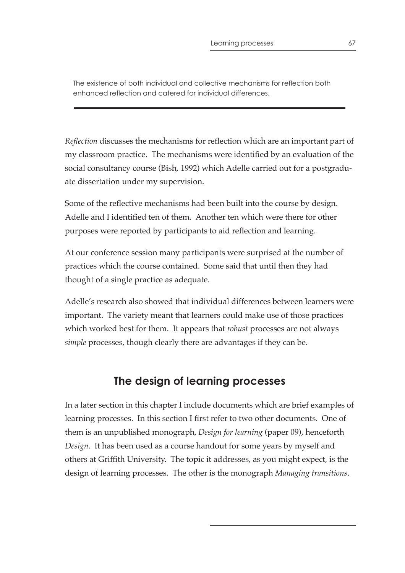The existence of both individual and collective mechanisms for reflection both enhanced reflection and catered for individual differences.

*Reflection* discusses the mechanisms for reflection which are an important part of my classroom practice. The mechanisms were identified by an evaluation of the social consultancy course (Bish, 1992) which Adelle carried out for a postgraduate dissertation under my supervision.

Some of the reflective mechanisms had been built into the course by design. Adelle and I identified ten of them. Another ten which were there for other purposes were reported by participants to aid reflection and learning.

At our conference session many participants were surprised at the number of practices which the course contained. Some said that until then they had thought of a single practice as adequate.

Adelle's research also showed that individual differences between learners were important. The variety meant that learners could make use of those practices which worked best for them. It appears that *robust* processes are not always *simple* processes, though clearly there are advantages if they can be.

# **The design of learning processes**

In a later section in this chapter I include documents which are brief examples of learning processes. In this section I first refer to two other documents. One of them is an unpublished monograph, *Design for learning* (paper 09), henceforth *Design*. It has been used as a course handout for some years by myself and others at Griffith University. The topic it addresses, as you might expect, is the design of learning processes. The other is the monograph *Managing transitions*.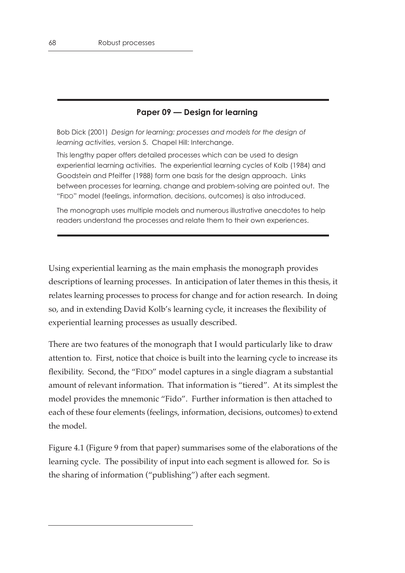## **Paper 09 — Design for learning**

Bob Dick (2001) *Design for learning: processes and models for the design of learning activities*, version 5. Chapel Hill: Interchange.

This lengthy paper offers detailed processes which can be used to design experiential learning activities. The experiential learning cycles of Kolb (1984) and Goodstein and Pfeiffer (1988) form one basis for the design approach. Links between processes for learning, change and problem-solving are pointed out. The "FIDO" model (feelings, information, decisions, outcomes) is also introduced.

The monograph uses multiple models and numerous illustrative anecdotes to help readers understand the processes and relate them to their own experiences.

Using experiential learning as the main emphasis the monograph provides descriptions of learning processes. In anticipation of later themes in this thesis, it relates learning processes to process for change and for action research. In doing so, and in extending David Kolb's learning cycle, it increases the flexibility of experiential learning processes as usually described.

There are two features of the monograph that I would particularly like to draw attention to. First, notice that choice is built into the learning cycle to increase its flexibility. Second, the "FIDO" model captures in a single diagram a substantial amount of relevant information. That information is "tiered". At its simplest the model provides the mnemonic "Fido". Further information is then attached to each of these four elements (feelings, information, decisions, outcomes) to extend the model.

Figure 4.1 (Figure 9 from that paper) summarises some of the elaborations of the learning cycle. The possibility of input into each segment is allowed for. So is the sharing of information ("publishing") after each segment.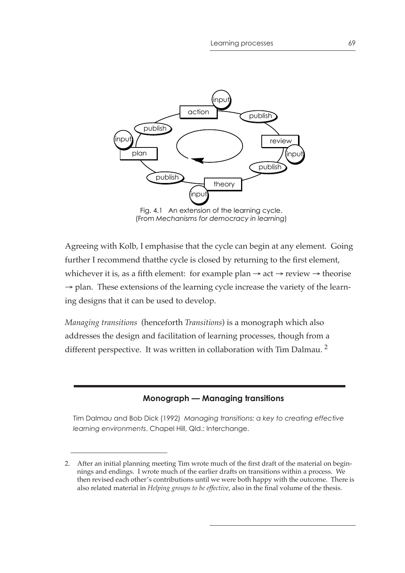

(From *Mechanisms for democracy in learning*)

Agreeing with Kolb, I emphasise that the cycle can begin at any element. Going further I recommend thatthe cycle is closed by returning to the first element, whichever it is, as a fifth element: for example plan  $\rightarrow$  act  $\rightarrow$  review  $\rightarrow$  theorise  $\rightarrow$  plan. These extensions of the learning cycle increase the variety of the learning designs that it can be used to develop.

*Managing transitions* (henceforth *Transitions*) is a monograph which also addresses the design and facilitation of learning processes, though from a different perspective. It was written in collaboration with Tim Dalmau.<sup>2</sup>

## **Monograph — Managing transitions**

Tim Dalmau and Bob Dick (1992) *Managing transitions: a key to creating effective learning environments*. Chapel Hill, Qld.: Interchange.

<sup>2.</sup> After an initial planning meeting Tim wrote much of the first draft of the material on beginnings and endings. I wrote much of the earlier drafts on transitions within a process. We then revised each other's contributions until we were both happy with the outcome. There is also related material in *Helping groups to be effective*, also in the final volume of the thesis.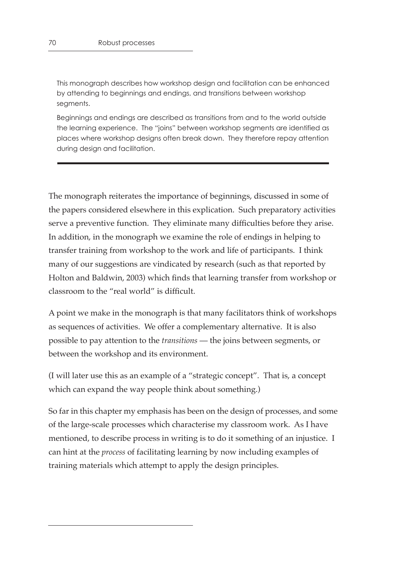This monograph describes how workshop design and facilitation can be enhanced by attending to beginnings and endings, and transitions between workshop segments.

Beginnings and endings are described as transitions from and to the world outside the learning experience. The "joins" between workshop segments are identified as places where workshop designs often break down. They therefore repay attention during design and facilitation.

The monograph reiterates the importance of beginnings, discussed in some of the papers considered elsewhere in this explication. Such preparatory activities serve a preventive function. They eliminate many difficulties before they arise. In addition, in the monograph we examine the role of endings in helping to transfer training from workshop to the work and life of participants. I think many of our suggestions are vindicated by research (such as that reported by Holton and Baldwin, 2003) which finds that learning transfer from workshop or classroom to the "real world" is difficult.

A point we make in the monograph is that many facilitators think of workshops as sequences of activities. We offer a complementary alternative. It is also possible to pay attention to the *transitions* — the joins between segments, or between the workshop and its environment.

(I will later use this as an example of a "strategic concept". That is, a concept which can expand the way people think about something.)

So far in this chapter my emphasis has been on the design of processes, and some of the large-scale processes which characterise my classroom work. As I have mentioned, to describe process in writing is to do it something of an injustice. I can hint at the *process* of facilitating learning by now including examples of training materials which attempt to apply the design principles.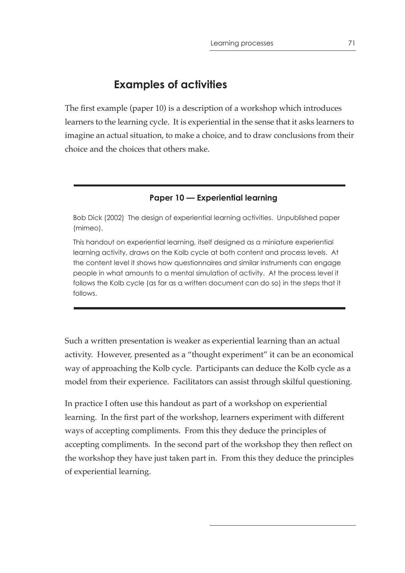# **Examples of activities**

The first example (paper 10) is a description of a workshop which introduces learners to the learning cycle. It is experiential in the sense that it asks learners to imagine an actual situation, to make a choice, and to draw conclusions from their choice and the choices that others make.

#### **Paper 10 — Experiential learning**

Bob Dick (2002) The design of experiential learning activities. Unpublished paper (mimeo).

This handout on experiential learning, itself designed as a miniature experiential learning activity, draws on the Kolb cycle at both content and process levels. At the content level it shows how questionnaires and similar instruments can engage people in what amounts to a mental simulation of activity. At the process level it follows the Kolb cycle (as far as a written document can do so) in the steps that it follows.

Such a written presentation is weaker as experiential learning than an actual activity. However, presented as a "thought experiment" it can be an economical way of approaching the Kolb cycle. Participants can deduce the Kolb cycle as a model from their experience. Facilitators can assist through skilful questioning.

In practice I often use this handout as part of a workshop on experiential learning. In the first part of the workshop, learners experiment with different ways of accepting compliments. From this they deduce the principles of accepting compliments. In the second part of the workshop they then reflect on the workshop they have just taken part in. From this they deduce the principles of experiential learning.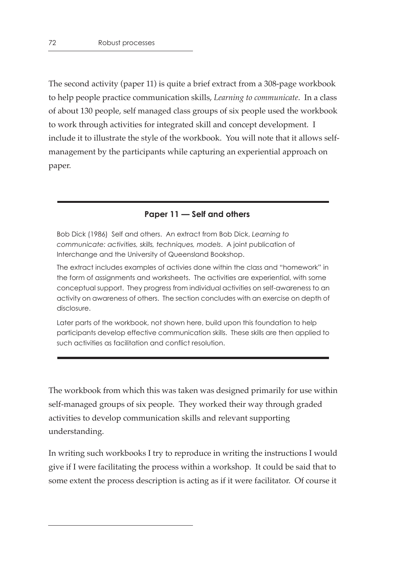The second activity (paper 11) is quite a brief extract from a 308-page workbook to help people practice communication skills, *Learning to communicate*. In a class of about 130 people, self managed class groups of six people used the workbook to work through activities for integrated skill and concept development. I include it to illustrate the style of the workbook. You will note that it allows selfmanagement by the participants while capturing an experiential approach on paper.

#### **Paper 11 — Self and others**

Bob Dick (1986) Self and others. An extract from Bob Dick, *Learning to communicate: activities, skills, techniques, models*. A joint publication of Interchange and the University of Queensland Bookshop.

The extract includes examples of activies done within the class and "homework" in the form of assignments and worksheets. The activities are experiential, with some conceptual support. They progress from individual activities on self-awareness to an activity on awareness of others. The section concludes with an exercise on depth of disclosure.

Later parts of the workbook, not shown here, build upon this foundation to help participants develop effective communication skills. These skills are then applied to such activities as facilitation and conflict resolution.

The workbook from which this was taken was designed primarily for use within self-managed groups of six people. They worked their way through graded activities to develop communication skills and relevant supporting understanding.

In writing such workbooks I try to reproduce in writing the instructions I would give if I were facilitating the process within a workshop. It could be said that to some extent the process description is acting as if it were facilitator. Of course it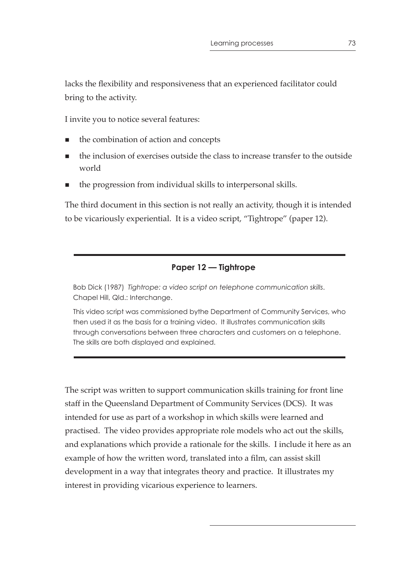lacks the flexibility and responsiveness that an experienced facilitator could bring to the activity.

I invite you to notice several features:

- the combination of action and concepts
- the inclusion of exercises outside the class to increase transfer to the outside world
- the progression from individual skills to interpersonal skills.

The third document in this section is not really an activity, though it is intended to be vicariously experiential. It is a video script, "Tightrope" (paper 12).

# **Paper 12 — Tightrope**

Bob Dick (1987) *Tightrope: a video script on telephone communication skills*. Chapel Hill, Qld.: Interchange.

This video script was commissioned bythe Department of Community Services, who then used it as the basis for a training video. It illustrates communication skills through conversations between three characters and customers on a telephone. The skills are both displayed and explained.

The script was written to support communication skills training for front line staff in the Queensland Department of Community Services (DCS). It was intended for use as part of a workshop in which skills were learned and practised. The video provides appropriate role models who act out the skills, and explanations which provide a rationale for the skills. I include it here as an example of how the written word, translated into a film, can assist skill development in a way that integrates theory and practice. It illustrates my interest in providing vicarious experience to learners.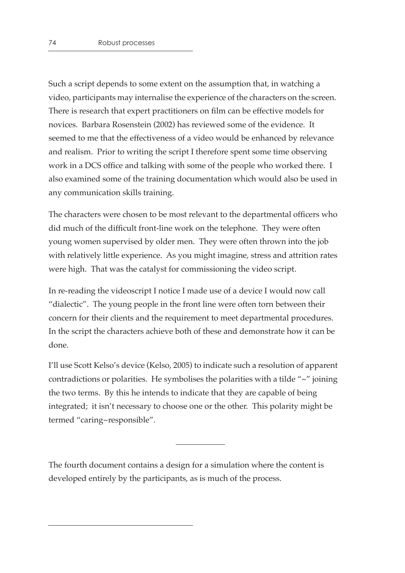Such a script depends to some extent on the assumption that, in watching a video, participants may internalise the experience of the characters on the screen. There is research that expert practitioners on film can be effective models for novices. Barbara Rosenstein (2002) has reviewed some of the evidence. It seemed to me that the effectiveness of a video would be enhanced by relevance and realism. Prior to writing the script I therefore spent some time observing work in a DCS office and talking with some of the people who worked there. I also examined some of the training documentation which would also be used in any communication skills training.

The characters were chosen to be most relevant to the departmental officers who did much of the difficult front-line work on the telephone. They were often young women supervised by older men. They were often thrown into the job with relatively little experience. As you might imagine, stress and attrition rates were high. That was the catalyst for commissioning the video script.

In re-reading the videoscript I notice I made use of a device I would now call "dialectic". The young people in the front line were often torn between their concern for their clients and the requirement to meet departmental procedures. In the script the characters achieve both of these and demonstrate how it can be done.

I'll use Scott Kelso's device (Kelso, 2005) to indicate such a resolution of apparent contradictions or polarities. He symbolises the polarities with a tilde "~" joining the two terms. By this he intends to indicate that they are capable of being integrated; it isn't necessary to choose one or the other. This polarity might be termed "caring~responsible".

The fourth document contains a design for a simulation where the content is developed entirely by the participants, as is much of the process.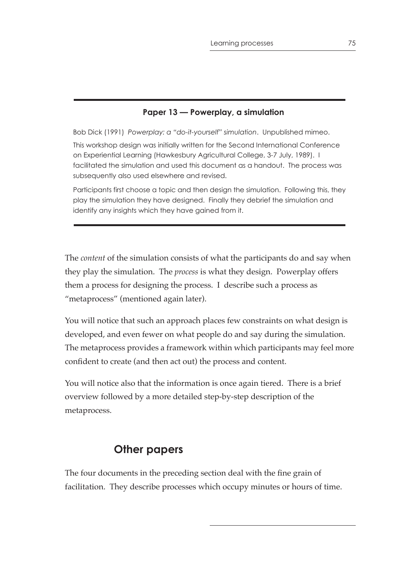# **Paper 13 — Powerplay, a simulation**

Bob Dick (1991) *Powerplay: a "do-it-yourself" simulation*. Unpublished mimeo. This workshop design was initially written for the Second International Conference on Experiential Learning (Hawkesbury Agricultural College, 3-7 July, 1989). I facilitated the simulation and used this document as a handout. The process was subsequently also used elsewhere and revised.

Participants first choose a topic and then design the simulation. Following this, they play the simulation they have designed. Finally they debrief the simulation and identify any insights which they have gained from it.

The *content* of the simulation consists of what the participants do and say when they play the simulation. The *process* is what they design. Powerplay offers them a process for designing the process. I describe such a process as "metaprocess" (mentioned again later).

You will notice that such an approach places few constraints on what design is developed, and even fewer on what people do and say during the simulation. The metaprocess provides a framework within which participants may feel more confident to create (and then act out) the process and content.

You will notice also that the information is once again tiered. There is a brief overview followed by a more detailed step-by-step description of the metaprocess.

# **Other papers**

The four documents in the preceding section deal with the fine grain of facilitation. They describe processes which occupy minutes or hours of time.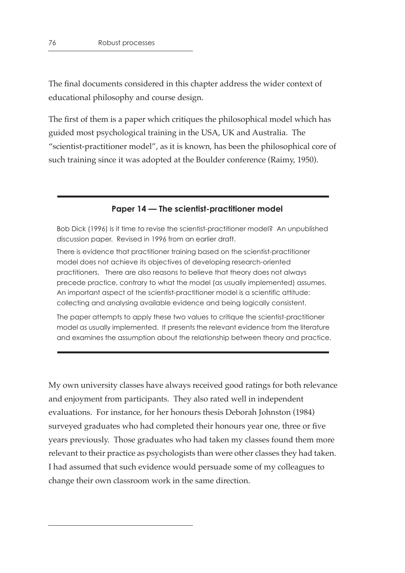The final documents considered in this chapter address the wider context of educational philosophy and course design.

The first of them is a paper which critiques the philosophical model which has guided most psychological training in the USA, UK and Australia. The "scientist-practitioner model", as it is known, has been the philosophical core of such training since it was adopted at the Boulder conference (Raimy, 1950).

#### **Paper 14 — The scientist-practitioner model**

Bob Dick (1996) Is it time to revise the scientist-practitioner model? An unpublished discussion paper. Revised in 1996 from an earlier draft.

There is evidence that practitioner training based on the scientist-practitioner model does not achieve its objectives of developing research-oriented practitioners. There are also reasons to believe that theory does not always precede practice, contrary to what the model (as usually implemented) assumes. An important aspect of the scientist-practitioner model is a scientific attitude: collecting and analysing available evidence and being logically consistent.

The paper attempts to apply these two values to critique the scientist-practitioner model as usually implemented. It presents the relevant evidence from the literature and examines the assumption about the relationship between theory and practice.

My own university classes have always received good ratings for both relevance and enjoyment from participants. They also rated well in independent evaluations. For instance, for her honours thesis Deborah Johnston (1984) surveyed graduates who had completed their honours year one, three or five years previously. Those graduates who had taken my classes found them more relevant to their practice as psychologists than were other classes they had taken. I had assumed that such evidence would persuade some of my colleagues to change their own classroom work in the same direction.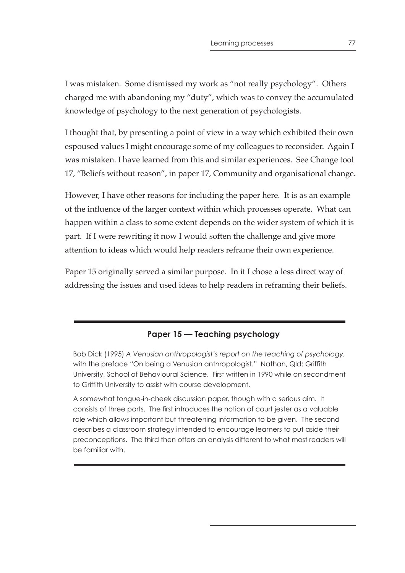I was mistaken. Some dismissed my work as "not really psychology". Others charged me with abandoning my "duty", which was to convey the accumulated knowledge of psychology to the next generation of psychologists.

I thought that, by presenting a point of view in a way which exhibited their own espoused values I might encourage some of my colleagues to reconsider. Again I was mistaken. I have learned from this and similar experiences. See Change tool 17, "Beliefs without reason", in paper 17, Community and organisational change.

However, I have other reasons for including the paper here. It is as an example of the influence of the larger context within which processes operate. What can happen within a class to some extent depends on the wider system of which it is part. If I were rewriting it now I would soften the challenge and give more attention to ideas which would help readers reframe their own experience.

Paper 15 originally served a similar purpose. In it I chose a less direct way of addressing the issues and used ideas to help readers in reframing their beliefs.

### **Paper 15 — Teaching psychology**

Bob Dick (1995) *A Venusian anthropologist's report on the teaching of psychology*, with the preface "On being a Venusian anthropologist." Nathan, Qld: Griffith University, School of Behavioural Science. First written in 1990 while on secondment to Griffith University to assist with course development.

A somewhat tongue-in-cheek discussion paper, though with a serious aim. It consists of three parts. The first introduces the notion of court jester as a valuable role which allows important but threatening information to be given. The second describes a classroom strategy intended to encourage learners to put aside their preconceptions. The third then offers an analysis different to what most readers will be familiar with.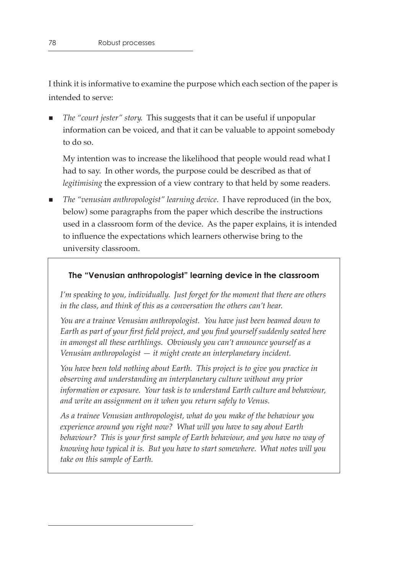I think it is informative to examine the purpose which each section of the paper is intended to serve:

 *The "court jester" story*. This suggests that it can be useful if unpopular information can be voiced, and that it can be valuable to appoint somebody to do so.

My intention was to increase the likelihood that people would read what I had to say. In other words, the purpose could be described as that of *legitimising* the expression of a view contrary to that held by some readers.

■ *The "venusian anthropologist" learning device*. I have reproduced (in the box, below) some paragraphs from the paper which describe the instructions used in a classroom form of the device. As the paper explains, it is intended to influence the expectations which learners otherwise bring to the university classroom.

## **The "Venusian anthropologist" learning device in the classroom**

*I'm speaking to you, individually. Just forget for the moment that there are others in the class, and think of this as a conversation the others can't hear.*

*You are a trainee Venusian anthropologist. You have just been beamed down to Earth as part of your first field project, and you find yourself suddenly seated here in amongst all these earthlings. Obviously you can't announce yourself as a Venusian anthropologist — it might create an interplanetary incident.*

*You have been told nothing about Earth. This project is to give you practice in observing and understanding an interplanetary culture without any prior information or exposure. Your task is to understand Earth culture and behaviour, and write an assignment on it when you return safely to Venus.*

*As a trainee Venusian anthropologist, what do you make of the behaviour you experience around you right now? What will you have to say about Earth behaviour? This is your first sample of Earth behaviour, and you have no way of knowing how typical it is. But you have to start somewhere. What notes will you take on this sample of Earth.*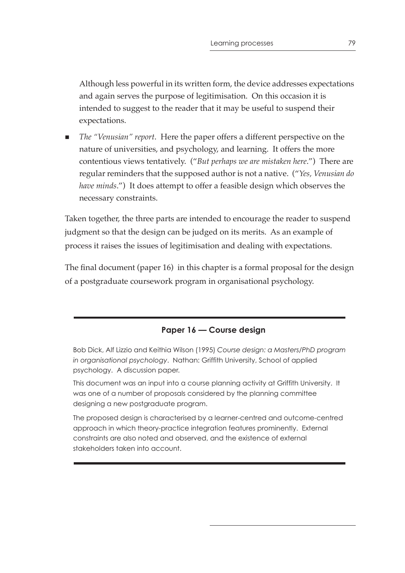Although less powerful in its written form, the device addresses expectations and again serves the purpose of legitimisation. On this occasion it is intended to suggest to the reader that it may be useful to suspend their expectations.

 *The "Venusian" report*. Here the paper offers a different perspective on the nature of universities, and psychology, and learning. It offers the more contentious views tentatively. ("*But perhaps we are mistaken here*.") There are regular reminders that the supposed author is not a native. ("*Yes, Venusian do have minds*.") It does attempt to offer a feasible design which observes the necessary constraints.

Taken together, the three parts are intended to encourage the reader to suspend judgment so that the design can be judged on its merits. As an example of process it raises the issues of legitimisation and dealing with expectations.

The final document (paper 16) in this chapter is a formal proposal for the design of a postgraduate coursework program in organisational psychology.

# **Paper 16 — Course design**

Bob Dick, Alf Lizzio and Keithia Wilson (1995) *Course design: a Masters/PhD program in organisational psychology*. Nathan: Griffith University, School of applied psychology. A discussion paper.

This document was an input into a course planning activity at Griffith University. It was one of a number of proposals considered by the planning committee designing a new postgraduate program.

The proposed design is characterised by a learner-centred and outcome-centred approach in which theory-practice integration features prominently. External constraints are also noted and observed, and the existence of external stakeholders taken into account.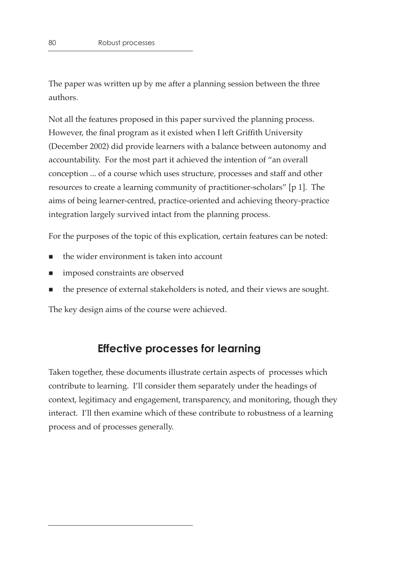The paper was written up by me after a planning session between the three authors.

Not all the features proposed in this paper survived the planning process. However, the final program as it existed when I left Griffith University (December 2002) did provide learners with a balance between autonomy and accountability. For the most part it achieved the intention of "an overall conception ... of a course which uses structure, processes and staff and other resources to create a learning community of practitioner-scholars" [p 1]. The aims of being learner-centred, practice-oriented and achieving theory-practice integration largely survived intact from the planning process.

For the purposes of the topic of this explication, certain features can be noted:

- the wider environment is taken into account
- imposed constraints are observed
- the presence of external stakeholders is noted, and their views are sought.

The key design aims of the course were achieved.

# **Effective processes for learning**

Taken together, these documents illustrate certain aspects of processes which contribute to learning. I'll consider them separately under the headings of context, legitimacy and engagement, transparency, and monitoring, though they interact. I'll then examine which of these contribute to robustness of a learning process and of processes generally.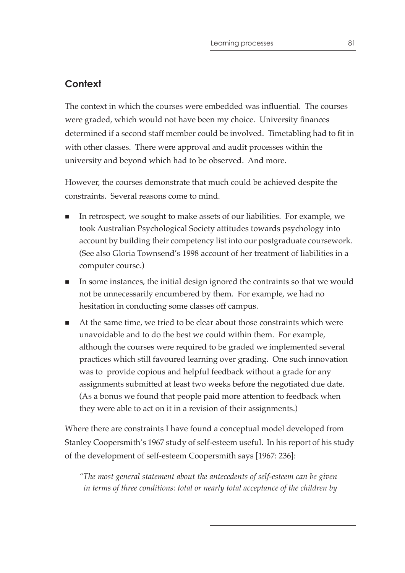# **Context**

The context in which the courses were embedded was influential. The courses were graded, which would not have been my choice. University finances determined if a second staff member could be involved. Timetabling had to fit in with other classes. There were approval and audit processes within the university and beyond which had to be observed. And more.

However, the courses demonstrate that much could be achieved despite the constraints. Several reasons come to mind.

- In retrospect, we sought to make assets of our liabilities. For example, we took Australian Psychological Society attitudes towards psychology into account by building their competency list into our postgraduate coursework. (See also Gloria Townsend's 1998 account of her treatment of liabilities in a computer course.)
- In some instances, the initial design ignored the contraints so that we would not be unnecessarily encumbered by them. For example, we had no hesitation in conducting some classes off campus.
- At the same time, we tried to be clear about those constraints which were unavoidable and to do the best we could within them. For example, although the courses were required to be graded we implemented several practices which still favoured learning over grading. One such innovation was to provide copious and helpful feedback without a grade for any assignments submitted at least two weeks before the negotiated due date. (As a bonus we found that people paid more attention to feedback when they were able to act on it in a revision of their assignments.)

Where there are constraints I have found a conceptual model developed from Stanley Coopersmith's 1967 study of self-esteem useful. In his report of his study of the development of self-esteem Coopersmith says [1967: 236]:

*"The most general statement about the antecedents of self-esteem can be given in terms of three conditions: total or nearly total acceptance of the children by*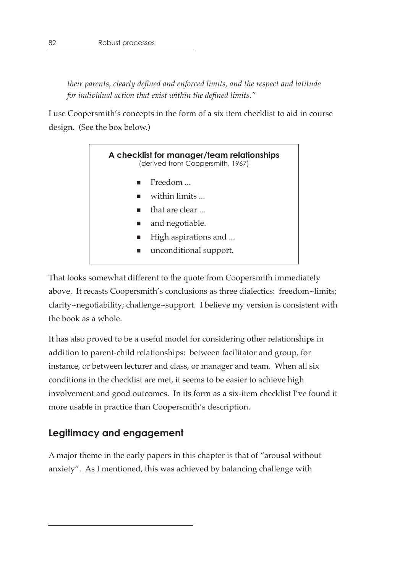*their parents, clearly defined and enforced limits, and the respect and latitude for individual action that exist within the defined limits."*

I use Coopersmith's concepts in the form of a six item checklist to aid in course design. (See the box below.)



That looks somewhat different to the quote from Coopersmith immediately above. It recasts Coopersmith's conclusions as three dialectics: freedom~limits; clarity~negotiability; challenge~support. I believe my version is consistent with the book as a whole.

It has also proved to be a useful model for considering other relationships in addition to parent-child relationships: between facilitator and group, for instance, or between lecturer and class, or manager and team. When all six conditions in the checklist are met, it seems to be easier to achieve high involvement and good outcomes. In its form as a six-item checklist I've found it more usable in practice than Coopersmith's description.

# **Legitimacy and engagement**

A major theme in the early papers in this chapter is that of "arousal without anxiety". As I mentioned, this was achieved by balancing challenge with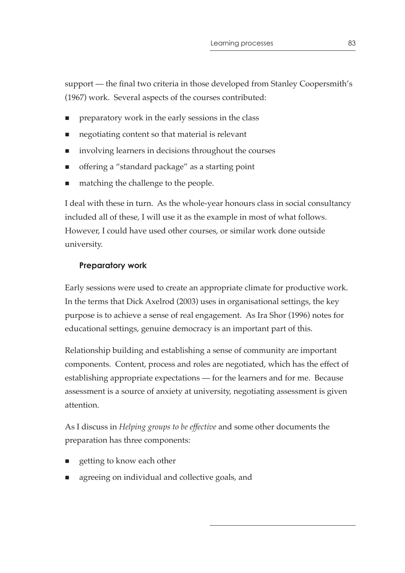support — the final two criteria in those developed from Stanley Coopersmith's (1967) work. Several aspects of the courses contributed:

- preparatory work in the early sessions in the class
- negotiating content so that material is relevant
- involving learners in decisions throughout the courses
- offering a "standard package" as a starting point
- matching the challenge to the people.

I deal with these in turn. As the whole-year honours class in social consultancy included all of these, I will use it as the example in most of what follows. However, I could have used other courses, or similar work done outside university.

# **Preparatory work**

Early sessions were used to create an appropriate climate for productive work. In the terms that Dick Axelrod (2003) uses in organisational settings, the key purpose is to achieve a sense of real engagement. As Ira Shor (1996) notes for educational settings, genuine democracy is an important part of this.

Relationship building and establishing a sense of community are important components. Content, process and roles are negotiated, which has the effect of establishing appropriate expectations — for the learners and for me. Because assessment is a source of anxiety at university, negotiating assessment is given attention.

As I discuss in *Helping groups to be effective* and some other documents the preparation has three components:

- getting to know each other
- agreeing on individual and collective goals, and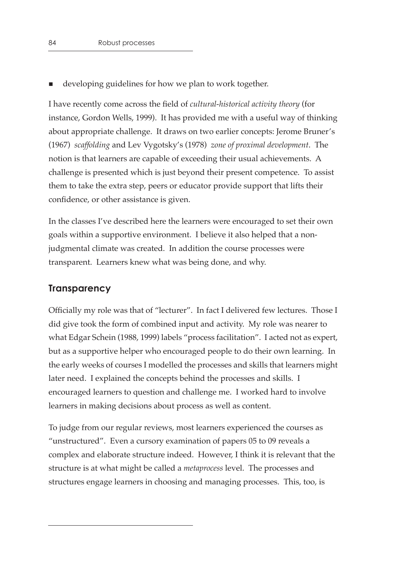■ developing guidelines for how we plan to work together.

I have recently come across the field of *cultural-historical activity theory* (for instance, Gordon Wells, 1999). It has provided me with a useful way of thinking about appropriate challenge. It draws on two earlier concepts: Jerome Bruner's (1967) *scaffolding* and Lev Vygotsky's (1978) *zone of proximal development*. The notion is that learners are capable of exceeding their usual achievements. A challenge is presented which is just beyond their present competence. To assist them to take the extra step, peers or educator provide support that lifts their confidence, or other assistance is given.

In the classes I've described here the learners were encouraged to set their own goals within a supportive environment. I believe it also helped that a nonjudgmental climate was created. In addition the course processes were transparent. Learners knew what was being done, and why.

# **Transparency**

Officially my role was that of "lecturer". In fact I delivered few lectures. Those I did give took the form of combined input and activity. My role was nearer to what Edgar Schein (1988, 1999) labels "process facilitation". I acted not as expert, but as a supportive helper who encouraged people to do their own learning. In the early weeks of courses I modelled the processes and skills that learners might later need. I explained the concepts behind the processes and skills. I encouraged learners to question and challenge me. I worked hard to involve learners in making decisions about process as well as content.

To judge from our regular reviews, most learners experienced the courses as "unstructured". Even a cursory examination of papers 05 to 09 reveals a complex and elaborate structure indeed. However, I think it is relevant that the structure is at what might be called a *metaprocess* level. The processes and structures engage learners in choosing and managing processes. This, too, is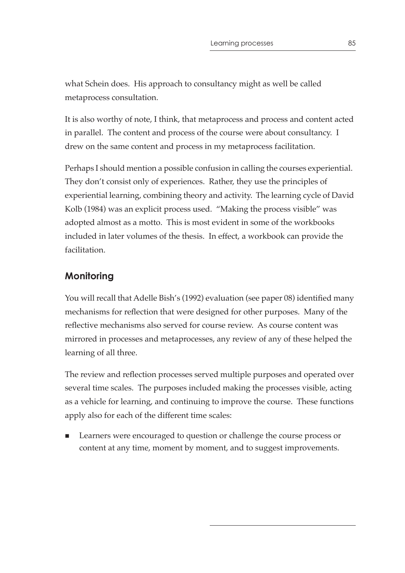what Schein does. His approach to consultancy might as well be called metaprocess consultation.

It is also worthy of note, I think, that metaprocess and process and content acted in parallel. The content and process of the course were about consultancy. I drew on the same content and process in my metaprocess facilitation.

Perhaps I should mention a possible confusion in calling the courses experiential. They don't consist only of experiences. Rather, they use the principles of experiential learning, combining theory and activity. The learning cycle of David Kolb (1984) was an explicit process used. "Making the process visible" was adopted almost as a motto. This is most evident in some of the workbooks included in later volumes of the thesis. In effect, a workbook can provide the facilitation.

# **Monitoring**

You will recall that Adelle Bish's (1992) evaluation (see paper 08) identified many mechanisms for reflection that were designed for other purposes. Many of the reflective mechanisms also served for course review. As course content was mirrored in processes and metaprocesses, any review of any of these helped the learning of all three.

The review and reflection processes served multiple purposes and operated over several time scales. The purposes included making the processes visible, acting as a vehicle for learning, and continuing to improve the course. These functions apply also for each of the different time scales:

 Learners were encouraged to question or challenge the course process or content at any time, moment by moment, and to suggest improvements.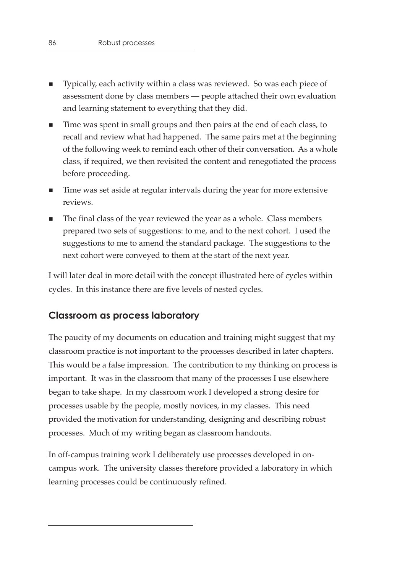- Typically, each activity within a class was reviewed. So was each piece of assessment done by class members — people attached their own evaluation and learning statement to everything that they did.
- Time was spent in small groups and then pairs at the end of each class, to recall and review what had happened. The same pairs met at the beginning of the following week to remind each other of their conversation. As a whole class, if required, we then revisited the content and renegotiated the process before proceeding.
- **Time was set aside at regular intervals during the year for more extensive** reviews.
- The final class of the year reviewed the year as a whole. Class members prepared two sets of suggestions: to me, and to the next cohort. I used the suggestions to me to amend the standard package. The suggestions to the next cohort were conveyed to them at the start of the next year.

I will later deal in more detail with the concept illustrated here of cycles within cycles. In this instance there are five levels of nested cycles.

# **Classroom as process laboratory**

The paucity of my documents on education and training might suggest that my classroom practice is not important to the processes described in later chapters. This would be a false impression. The contribution to my thinking on process is important. It was in the classroom that many of the processes I use elsewhere began to take shape. In my classroom work I developed a strong desire for processes usable by the people, mostly novices, in my classes. This need provided the motivation for understanding, designing and describing robust processes. Much of my writing began as classroom handouts.

In off-campus training work I deliberately use processes developed in oncampus work. The university classes therefore provided a laboratory in which learning processes could be continuously refined.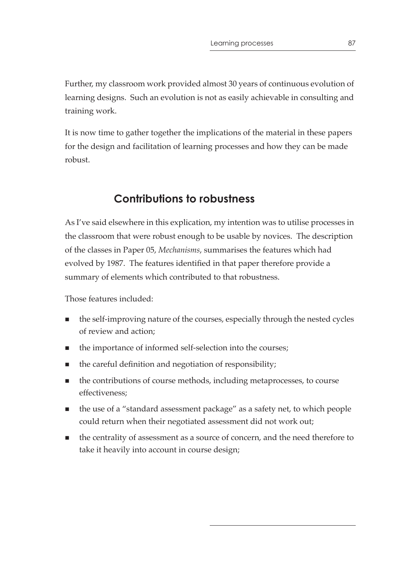Further, my classroom work provided almost 30 years of continuous evolution of learning designs. Such an evolution is not as easily achievable in consulting and training work.

It is now time to gather together the implications of the material in these papers for the design and facilitation of learning processes and how they can be made robust.

# **Contributions to robustness**

As I've said elsewhere in this explication, my intention was to utilise processes in the classroom that were robust enough to be usable by novices. The description of the classes in Paper 05, *Mechanisms*, summarises the features which had evolved by 1987. The features identified in that paper therefore provide a summary of elements which contributed to that robustness.

Those features included:

- $\blacksquare$  the self-improving nature of the courses, especially through the nested cycles of review and action;
- $\blacksquare$  the importance of informed self-selection into the courses;
- the careful definition and negotiation of responsibility;
- the contributions of course methods, including metaprocesses, to course effectiveness;
- the use of a "standard assessment package" as a safety net, to which people could return when their negotiated assessment did not work out;
- the centrality of assessment as a source of concern, and the need therefore to take it heavily into account in course design;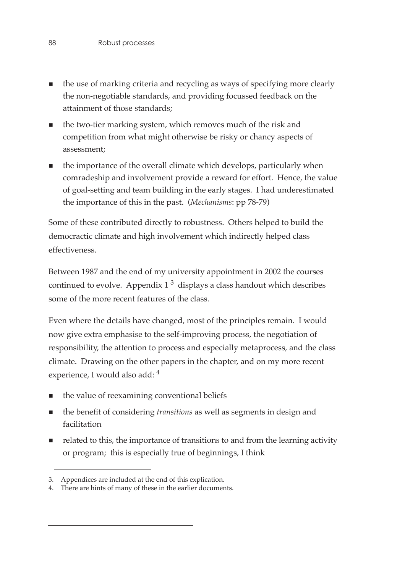- the use of marking criteria and recycling as ways of specifying more clearly the non-negotiable standards, and providing focussed feedback on the attainment of those standards;
- **the two-tier marking system, which removes much of the risk and** competition from what might otherwise be risky or chancy aspects of assessment;
- the importance of the overall climate which develops, particularly when comradeship and involvement provide a reward for effort. Hence, the value of goal-setting and team building in the early stages. I had underestimated the importance of this in the past. (*Mechanisms*: pp 78-79)

Some of these contributed directly to robustness. Others helped to build the democractic climate and high involvement which indirectly helped class effectiveness.

Between 1987 and the end of my university appointment in 2002 the courses continued to evolve. Appendix  $1^3$  displays a class handout which describes some of the more recent features of the class.

Even where the details have changed, most of the principles remain. I would now give extra emphasise to the self-improving process, the negotiation of responsibility, the attention to process and especially metaprocess, and the class climate. Drawing on the other papers in the chapter, and on my more recent experience, I would also add: 4

- the value of reexamining conventional beliefs
- the benefit of considering *transitions* as well as segments in design and facilitation
- related to this, the importance of transitions to and from the learning activity or program; this is especially true of beginnings, I think

<sup>3.</sup> Appendices are included at the end of this explication.

<sup>4.</sup> There are hints of many of these in the earlier documents.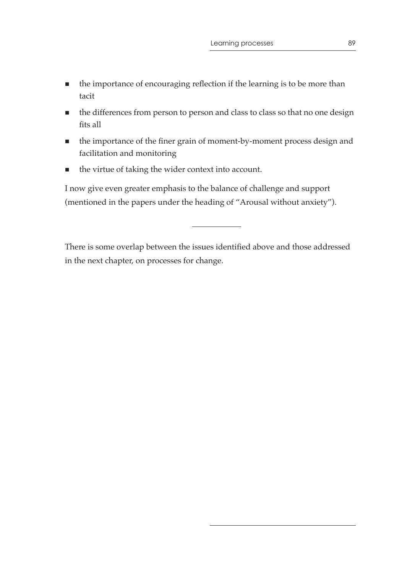- the importance of encouraging reflection if the learning is to be more than tacit
- $\blacksquare$  the differences from person to person and class to class so that no one design fits all
- the importance of the finer grain of moment-by-moment process design and facilitation and monitoring
- the virtue of taking the wider context into account.

I now give even greater emphasis to the balance of challenge and support (mentioned in the papers under the heading of "Arousal without anxiety").

There is some overlap between the issues identified above and those addressed in the next chapter, on processes for change.